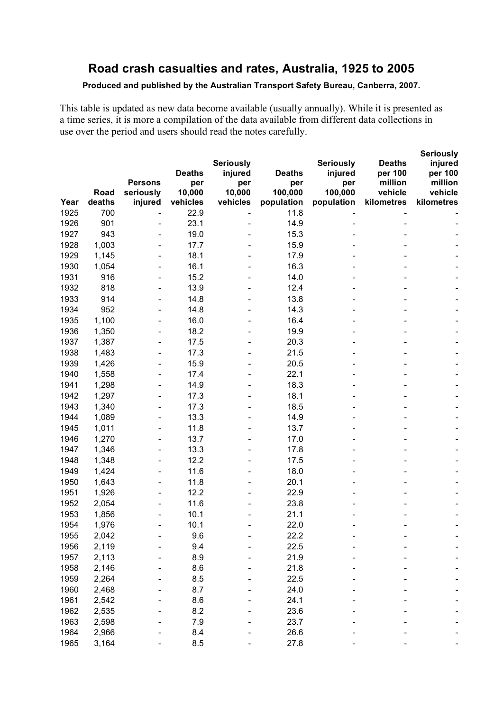# **Road crash casualties and rates, Australia, 1925 to 2005**

#### **Produced and published by the Australian Transport Safety Bureau, Canberra, 2007.**

This table is updated as new data become available (usually annually). While it is presented as a time series, it is more a compilation of the data available from different data collections in use over the period and users should read the notes carefully.

|              |                |                          |               |                  |                |                  |                    | <b>Seriously</b>   |
|--------------|----------------|--------------------------|---------------|------------------|----------------|------------------|--------------------|--------------------|
|              |                |                          |               | <b>Seriously</b> |                | <b>Seriously</b> | <b>Deaths</b>      | injured            |
|              |                | <b>Persons</b>           | <b>Deaths</b> | injured          | <b>Deaths</b>  | injured          | per 100<br>million | per 100            |
|              | Road           | seriously                | per<br>10,000 | per<br>10,000    | per<br>100,000 | per<br>100,000   | vehicle            | million<br>vehicle |
| Year         | deaths         | injured                  | vehicles      | vehicles         | population     | population       | kilometres         | kilometres         |
| 1925         | 700            |                          | 22.9          |                  | 11.8           |                  |                    |                    |
| 1926         | 901            |                          | 23.1          |                  | 14.9           |                  |                    |                    |
| 1927         | 943            |                          | 19.0          |                  | 15.3           |                  |                    |                    |
| 1928         | 1,003          |                          | 17.7          |                  | 15.9           |                  |                    |                    |
| 1929         | 1,145          |                          | 18.1          |                  | 17.9           |                  |                    |                    |
| 1930         | 1,054          | $\overline{\phantom{a}}$ | 16.1          |                  | 16.3           |                  |                    |                    |
| 1931         | 916            | $\overline{\phantom{a}}$ | 15.2          |                  | 14.0           |                  |                    |                    |
| 1932         | 818            | $\overline{\phantom{a}}$ | 13.9          |                  | 12.4           |                  |                    |                    |
| 1933         | 914            | $\overline{\phantom{a}}$ | 14.8          |                  | 13.8           |                  |                    |                    |
| 1934         | 952            |                          | 14.8          |                  | 14.3           |                  |                    |                    |
| 1935         | 1,100          | $\overline{\phantom{a}}$ | 16.0          |                  | 16.4           |                  |                    |                    |
| 1936         | 1,350          |                          | 18.2          |                  | 19.9           |                  |                    |                    |
| 1937         | 1,387          |                          | 17.5          |                  | 20.3           |                  |                    |                    |
| 1938         | 1,483          |                          | 17.3          |                  | 21.5           |                  |                    |                    |
| 1939         | 1,426          |                          | 15.9          |                  | 20.5           |                  |                    |                    |
| 1940         | 1,558          |                          | 17.4          |                  | 22.1           |                  |                    |                    |
| 1941         | 1,298          |                          | 14.9          |                  | 18.3           |                  |                    |                    |
| 1942         | 1,297          |                          | 17.3          |                  | 18.1           |                  |                    |                    |
| 1943         | 1,340          | $\overline{\phantom{a}}$ | 17.3          |                  | 18.5           |                  |                    |                    |
| 1944         | 1,089          |                          | 13.3          |                  | 14.9           |                  |                    |                    |
| 1945         | 1,011          |                          | 11.8          |                  | 13.7           |                  |                    |                    |
| 1946         | 1,270          |                          | 13.7          |                  | 17.0           |                  |                    |                    |
| 1947         | 1,346          | $\overline{\phantom{a}}$ | 13.3          |                  | 17.8           |                  |                    |                    |
| 1948         | 1,348          | $\overline{\phantom{a}}$ | 12.2          |                  | 17.5           |                  |                    |                    |
| 1949         | 1,424          | $\overline{\phantom{a}}$ | 11.6          |                  | 18.0           |                  |                    |                    |
| 1950         | 1,643          |                          | 11.8          |                  | 20.1           |                  |                    |                    |
| 1951         | 1,926          |                          | 12.2          |                  | 22.9           |                  |                    |                    |
| 1952         | 2,054          |                          | 11.6          |                  | 23.8           |                  |                    |                    |
| 1953         | 1,856          |                          | 10.1          |                  | 21.1           |                  |                    |                    |
| 1954         | 1,976          |                          | 10.1          |                  | 22.0           |                  |                    |                    |
| 1955         | 2,042          |                          | 9.6           |                  | 22.2           |                  |                    |                    |
| 1956<br>1957 | 2,119          |                          | 9.4<br>8.9    |                  | 22.5<br>21.9   |                  |                    |                    |
| 1958         | 2,113          |                          | 8.6           |                  | 21.8           |                  |                    |                    |
| 1959         | 2,146<br>2,264 |                          | 8.5           |                  | 22.5           |                  |                    |                    |
| 1960         | 2,468          |                          | 8.7           |                  | 24.0           |                  |                    |                    |
| 1961         | 2,542          |                          | 8.6           |                  | 24.1           |                  |                    |                    |
| 1962         | 2,535          |                          | 8.2           |                  | 23.6           |                  |                    |                    |
| 1963         | 2,598          |                          | 7.9           |                  | 23.7           |                  |                    |                    |
| 1964         | 2,966          |                          | 8.4           |                  | 26.6           |                  |                    |                    |
| 1965         | 3,164          |                          | 8.5           |                  | 27.8           |                  |                    |                    |
|              |                |                          |               |                  |                |                  |                    |                    |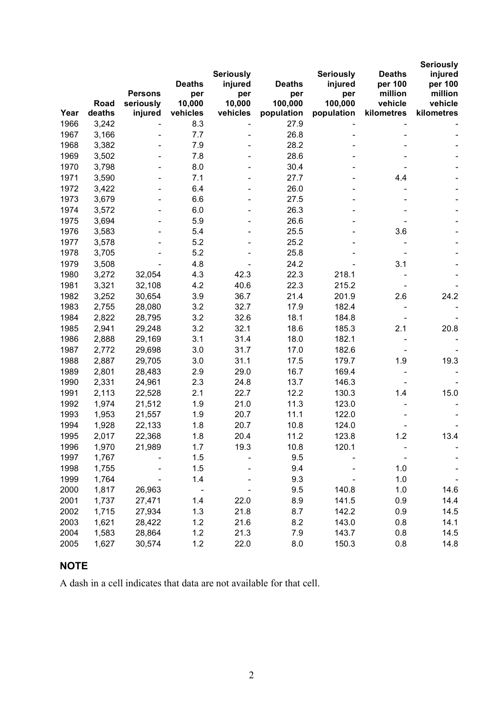|      |        |                |                          | <b>Seriously</b>             |                | <b>Seriously</b> | <b>Deaths</b>      | <b>Seriously</b><br>injured |
|------|--------|----------------|--------------------------|------------------------------|----------------|------------------|--------------------|-----------------------------|
|      |        | <b>Persons</b> | <b>Deaths</b>            | injured                      | <b>Deaths</b>  | injured          | per 100<br>million | per 100<br>million          |
|      | Road   | seriously      | per<br>10,000            | per<br>10,000                | per<br>100,000 | per<br>100,000   | vehicle            | vehicle                     |
| Year | deaths | injured        | vehicles                 | vehicles                     | population     | population       | kilometres         | kilometres                  |
| 1966 | 3,242  |                | 8.3                      |                              | 27.9           |                  |                    |                             |
| 1967 | 3,166  |                | 7.7                      |                              | 26.8           |                  |                    |                             |
| 1968 | 3,382  |                | 7.9                      |                              | 28.2           |                  |                    |                             |
| 1969 | 3,502  |                | 7.8                      |                              | 28.6           |                  |                    |                             |
| 1970 | 3,798  |                | 8.0                      |                              | 30.4           |                  |                    |                             |
| 1971 | 3,590  |                | 7.1                      |                              | 27.7           |                  | 4.4                |                             |
| 1972 | 3,422  |                | 6.4                      | $\qquad \qquad \blacksquare$ | 26.0           |                  |                    |                             |
| 1973 | 3,679  |                | 6.6                      | $\qquad \qquad \blacksquare$ | 27.5           |                  |                    |                             |
| 1974 | 3,572  |                | 6.0                      | $\qquad \qquad \blacksquare$ | 26.3           |                  |                    |                             |
| 1975 | 3,694  |                | 5.9                      |                              | 26.6           |                  |                    |                             |
| 1976 | 3,583  |                | 5.4                      |                              | 25.5           |                  | 3.6                |                             |
| 1977 | 3,578  |                | 5.2                      |                              | 25.2           |                  |                    |                             |
| 1978 | 3,705  |                | 5.2                      |                              | 25.8           |                  |                    |                             |
| 1979 | 3,508  |                | 4.8                      |                              | 24.2           |                  | 3.1                |                             |
| 1980 | 3,272  | 32,054         | 4.3                      | 42.3                         | 22.3           | 218.1            |                    |                             |
| 1981 | 3,321  | 32,108         | 4.2                      | 40.6                         | 22.3           | 215.2            |                    |                             |
| 1982 | 3,252  | 30,654         | 3.9                      | 36.7                         | 21.4           | 201.9            | 2.6                | 24.2                        |
| 1983 | 2,755  | 28,080         | 3.2                      | 32.7                         | 17.9           | 182.4            |                    |                             |
| 1984 | 2,822  | 28,795         | 3.2                      | 32.6                         | 18.1           | 184.8            |                    |                             |
| 1985 | 2,941  | 29,248         | 3.2                      | 32.1                         | 18.6           | 185.3            | 2.1                | 20.8                        |
| 1986 | 2,888  | 29,169         | 3.1                      | 31.4                         | 18.0           | 182.1            |                    |                             |
| 1987 | 2,772  | 29,698         | 3.0                      | 31.7                         | 17.0           | 182.6            |                    |                             |
| 1988 | 2,887  | 29,705         | 3.0                      | 31.1                         | 17.5           | 179.7            | 1.9                | 19.3                        |
| 1989 | 2,801  | 28,483         | 2.9                      | 29.0                         | 16.7           | 169.4            |                    |                             |
| 1990 | 2,331  | 24,961         | 2.3                      | 24.8                         | 13.7           | 146.3            |                    |                             |
| 1991 | 2,113  | 22,528         | 2.1                      | 22.7                         | 12.2           | 130.3            | 1.4                | 15.0                        |
| 1992 | 1,974  | 21,512         | 1.9                      | 21.0                         | 11.3           | 123.0            |                    |                             |
| 1993 | 1,953  | 21,557         | 1.9                      | 20.7                         | 11.1           | 122.0            |                    |                             |
| 1994 | 1,928  | 22,133         | 1.8                      | 20.7                         | 10.8           | 124.0            |                    |                             |
| 1995 | 2,017  | 22,368         | 1.8                      | 20.4                         | 11.2           | 123.8            | 1.2                | 13.4                        |
| 1996 | 1,970  | 21,989         | 1.7                      | 19.3                         | 10.8           | 120.1            |                    |                             |
| 1997 | 1,767  |                | 1.5                      |                              | 9.5            |                  |                    |                             |
| 1998 | 1,755  |                | 1.5                      |                              | 9.4            |                  | 1.0                |                             |
| 1999 | 1,764  |                | 1.4                      |                              | 9.3            |                  | 1.0                |                             |
| 2000 | 1,817  | 26,963         | $\overline{\phantom{a}}$ |                              | 9.5            | 140.8            | 1.0                | 14.6                        |
| 2001 | 1,737  | 27,471         | 1.4                      | 22.0                         | 8.9            | 141.5            | 0.9                | 14.4                        |
| 2002 | 1,715  | 27,934         | 1.3                      | 21.8                         | 8.7            | 142.2            | 0.9                | 14.5                        |
| 2003 | 1,621  | 28,422         | 1.2                      | 21.6                         | 8.2            | 143.0            | 0.8                | 14.1                        |
| 2004 | 1,583  | 28,864         | 1.2                      | 21.3                         | 7.9            | 143.7            | 0.8                | 14.5                        |
| 2005 | 1,627  | 30,574         | 1.2                      | 22.0                         | 8.0            | 150.3            | 0.8                | 14.8                        |

# **NOTE**

A dash in a cell indicates that data are not available for that cell.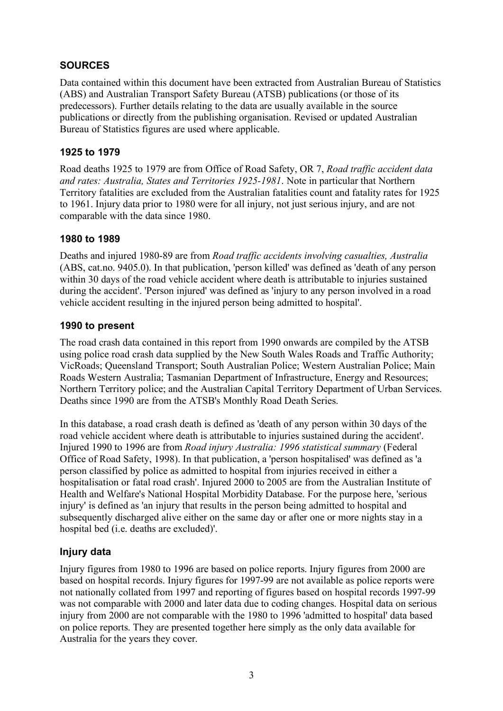### **SOURCES**

Data contained within this document have been extracted from Australian Bureau of Statistics (ABS) and Australian Transport Safety Bureau (ATSB) publications (or those of its predecessors). Further details relating to the data are usually available in the source publications or directly from the publishing organisation. Revised or updated Australian Bureau of Statistics figures are used where applicable.

#### **1925 to 1979**

Road deaths 1925 to 1979 are from Office of Road Safety, OR 7, *Road traffic accident data and rates: Australia, States and Territories 1925-1981*. Note in particular that Northern Territory fatalities are excluded from the Australian fatalities count and fatality rates for 1925 to 1961. Injury data prior to 1980 were for all injury, not just serious injury, and are not comparable with the data since 1980.

### **1980 to 1989**

Deaths and injured 1980-89 are from *Road traffic accidents involving casualties, Australia* (ABS, cat.no. 9405.0). In that publication, 'person killed' was defined as 'death of any person within 30 days of the road vehicle accident where death is attributable to injuries sustained during the accident'. 'Person injured' was defined as 'injury to any person involved in a road vehicle accident resulting in the injured person being admitted to hospital'.

### **1990 to present**

The road crash data contained in this report from 1990 onwards are compiled by the ATSB using police road crash data supplied by the New South Wales Roads and Traffic Authority; VicRoads; Queensland Transport; South Australian Police; Western Australian Police; Main Roads Western Australia; Tasmanian Department of Infrastructure, Energy and Resources; Northern Territory police; and the Australian Capital Territory Department of Urban Services. Deaths since 1990 are from the ATSB's Monthly Road Death Series.

In this database, a road crash death is defined as 'death of any person within 30 days of the road vehicle accident where death is attributable to injuries sustained during the accident'. Injured 1990 to 1996 are from *Road injury Australia: 1996 statistical summary* (Federal Office of Road Safety, 1998). In that publication, a 'person hospitalised' was defined as 'a person classified by police as admitted to hospital from injuries received in either a hospitalisation or fatal road crash'. Injured 2000 to 2005 are from the Australian Institute of Health and Welfare's National Hospital Morbidity Database. For the purpose here, 'serious injury' is defined as 'an injury that results in the person being admitted to hospital and subsequently discharged alive either on the same day or after one or more nights stay in a hospital bed (i.e. deaths are excluded)'.

## **Injury data**

Injury figures from 1980 to 1996 are based on police reports. Injury figures from 2000 are based on hospital records. Injury figures for 1997-99 are not available as police reports were not nationally collated from 1997 and reporting of figures based on hospital records 1997-99 was not comparable with 2000 and later data due to coding changes. Hospital data on serious injury from 2000 are not comparable with the 1980 to 1996 'admitted to hospital' data based on police reports. They are presented together here simply as the only data available for Australia for the years they cover.